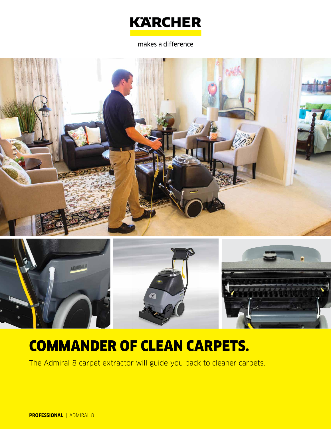

makes a difference





# COMMANDER OF CLEAN CARPETS.

The Admiral 8 carpet extractor will guide you back to cleaner carpets.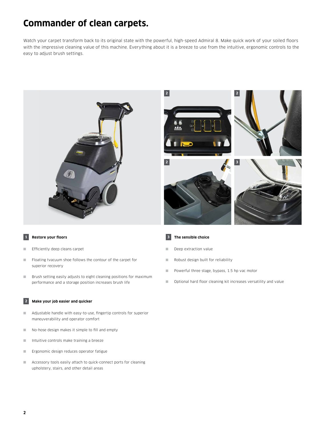### **Commander of clean carpets.**

Watch your carpet transform back to its original state with the powerful, high-speed Admiral 8. Make quick work of your soiled floors with the impressive cleaning value of this machine. Everything about it is a breeze to use from the intuitive, ergonomic controls to the easy to adjust brush settings.





### **1 Restore your floors**

- Efficiently deep cleans carpet
- Floating tvacuum shoe follows the contour of the carpet for superior recovery
- Brush setting easily adjusts to eight cleaning positions for maximum performance and a storage position increases brush life

### **2 Make your job easier and quicker**

- Adjustable handle with easy-to-use, fingertip controls for superior maneuverability and operator comfort
- No-hose design makes it simple to fill and empty
- Intuitive controls make training a breeze
- Ergonomic design reduces operator fatigue
- Accessory tools easily attach to quick-connect ports for cleaning upholstery, stairs, and other detail areas



- Deep extraction value
- Robust design built for reliability
- Powerful three stage, bypass, 1.5 hp vac motor
- Optional hard floor cleaning kit increases versatility and value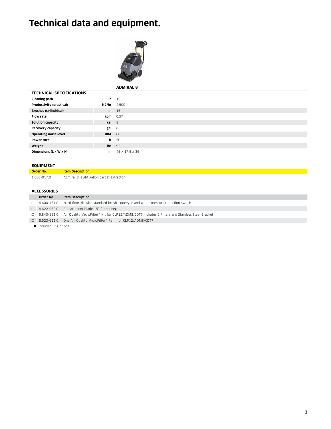## **Technical data and equipment.**



|                                 |                | <b>ADMIRAL 8</b> |  |  |
|---------------------------------|----------------|------------------|--|--|
| <b>TECHNICAL SPECIFICATIONS</b> |                |                  |  |  |
| Cleaning path                   | in             | 15               |  |  |
| Productivity (practical)        | ft2/hr $2,500$ |                  |  |  |
| <b>Brushes (cylindrical)</b>    |                | $in$ 15          |  |  |
| <b>Flow rate</b>                | $gpm$ 0.57     |                  |  |  |
| Solution capacity               | gal 8          |                  |  |  |
| Recovery capacity               | gal            | - 8              |  |  |
| <b>Operating noise level</b>    | <b>dBA</b> 68  |                  |  |  |
| Power cord                      | ft             | 50               |  |  |
| Weight                          | $Ibs$ 92       |                  |  |  |
| Dimensions (L x W x H)          | in             | 45 x 17.5 x 36   |  |  |

### **EQUIPMENT**

| Order No.   | <b>Item Description</b>                  |
|-------------|------------------------------------------|
| 1.008-017.0 | Admiral 8, eight gallon carpet extractor |

### **ACCESSORIES**

|                                         | Order No.          | <b>Item Description</b>                                                                         |  |  |
|-----------------------------------------|--------------------|-------------------------------------------------------------------------------------------------|--|--|
|                                         | $\Box$ 8.600-461.0 | Hard floor kit with standard brush, squeegee and water pressure reduction switch                |  |  |
|                                         | $\Box$ 8.622-960.0 | Replacement blade 15" for squeegee                                                              |  |  |
|                                         | $\Box$ 9.840-551.0 | Air Quality MicroFilter™ Kit for CLP12/ADM8/CDT7 Includes 2 Filters and Stainless Steel Bracket |  |  |
|                                         | $\Box$ 8.623-611.0 | One Air Quality MicroFilter™ Refill for CLP12/ADM8/CDT7                                         |  |  |
| $\blacksquare$ Included $\Box$ Optional |                    |                                                                                                 |  |  |

**3**